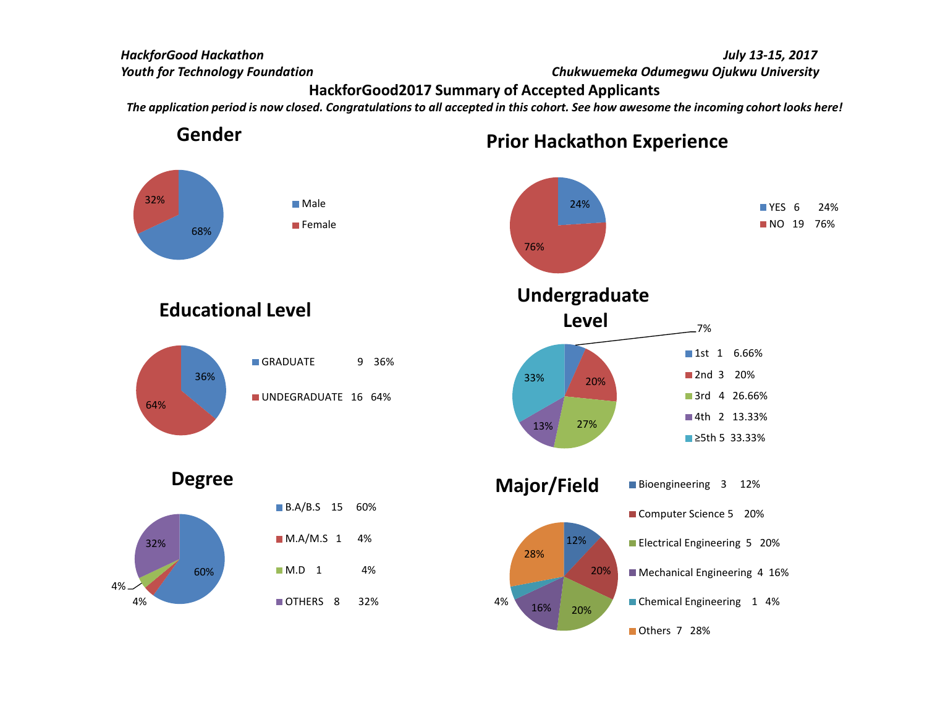#### HackforGood Hackathon

Youth for Technology Foundation

 July 13-15, 2017 Chukwuemeka Odumegwu Ojukwu University

#### HackforGood2017 Summary of Accepted Applicants

The application period is now closed. Congratulations to all accepted in this cohort. See how awesome the incoming cohort looks here!

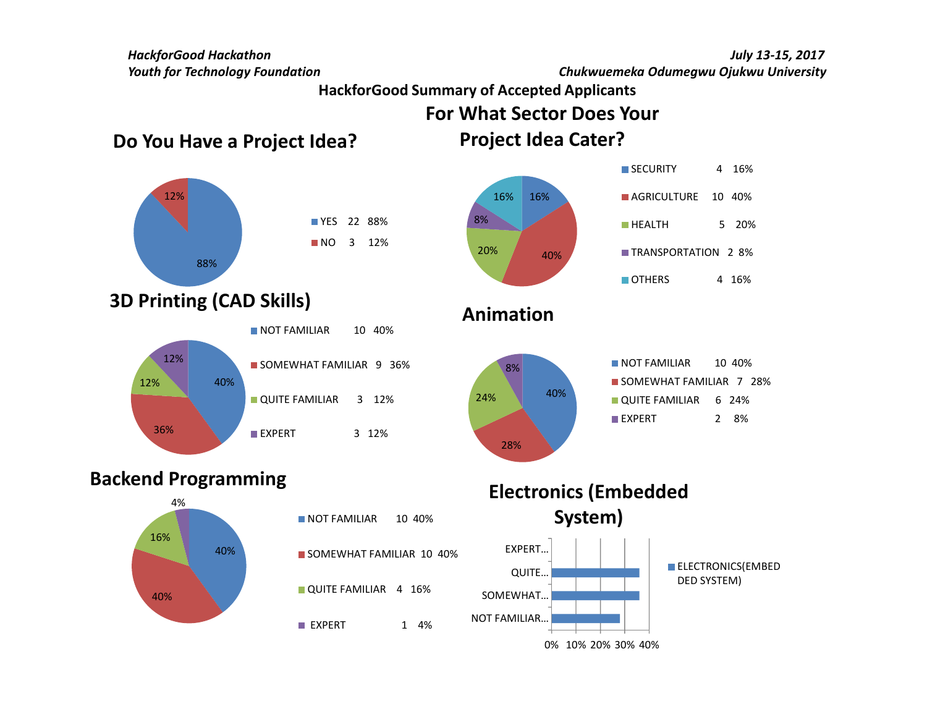HackforGood HackathonYouth for Technology Foundation

 July 13-15, 2017 Chukwuemeka Odumegwu Ojukwu University

HackforGood Summary of Accepted Applicants

For What Sector Does Your

Do You Have a Project Idea?









#### Backend Programming





#### Electronics (Embedded System)

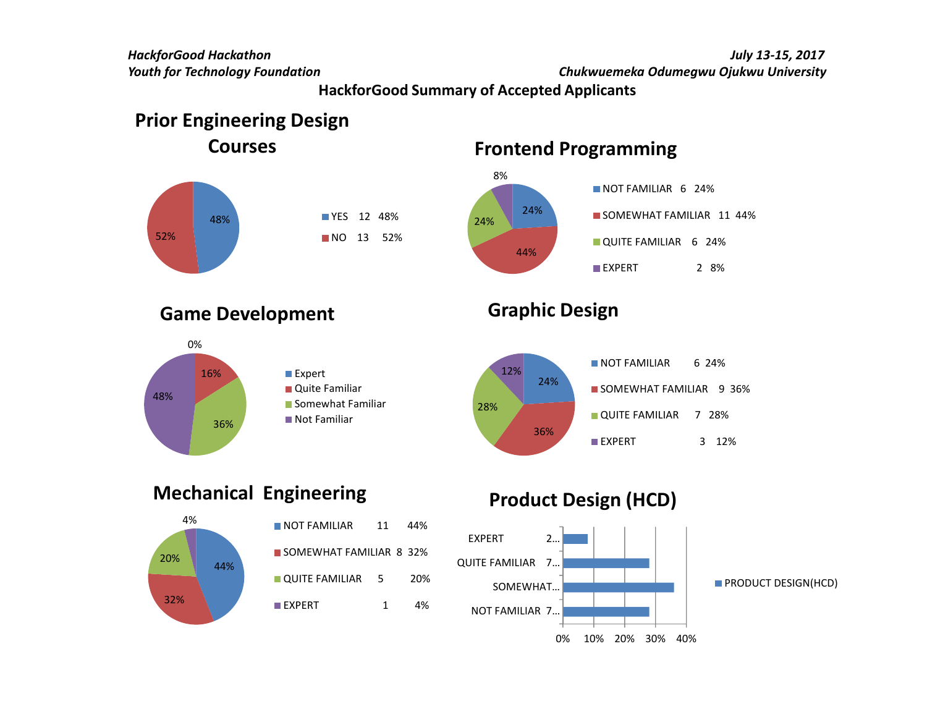July 13-15, 2017

Chukwuemeka Odumegwu Ojukwu University

HackforGood Summary of Accepted Applicants

## Prior Engineering Design

Courses



# Frontend Programming



#### Game Development



## Graphic Design



### Mechanical Engineering



| NOT FAMILIAR            | 11 | 44% |
|-------------------------|----|-----|
| SOMEWHAT FAMILIAR 8 32% |    |     |
| QUITE FAMILIAR 5        |    | 20% |
| $\blacksquare$ EXPERT   | 1  | 4%  |

### Product Design (HCD)